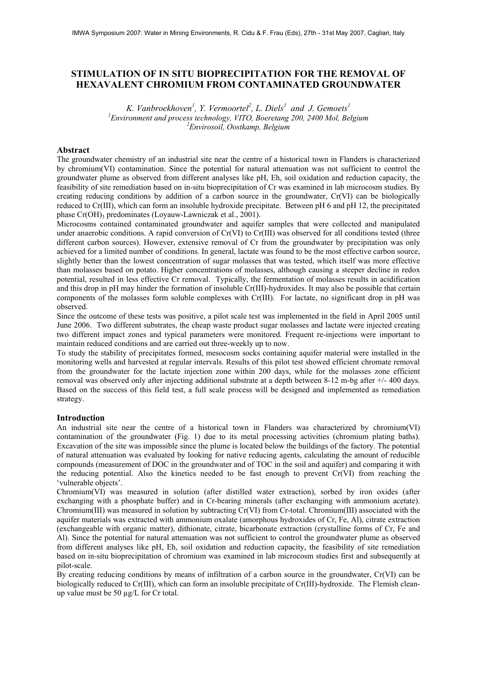# **STIMULATION OF IN SITU BIOPRECIPITATION FOR THE REMOVAL OF HEXAVALENT CHROMIUM FROM CONTAMINATED GROUNDWATER**

*K. Vanbroekhoven<sup>1</sup> , Y. Vermoortel<sup>2</sup> , L. Diels1 and J. Gemoets1* <sup>1</sup> Environment and process technology, VITO, Boeretang 200, 2400 Mol, Belgium <sup>2</sup> Emvironaail, Osatkamp, Balgium *Envirosoil, Oostkamp, Belgium* 

## **Abstract**

The groundwater chemistry of an industrial site near the centre of a historical town in Flanders is characterized by chromium(VI) contamination. Since the potential for natural attenuation was not sufficient to control the groundwater plume as observed from different analyses like pH, Eh, soil oxidation and reduction capacity, the feasibility of site remediation based on in-situ bioprecipitation of Cr was examined in lab microcosm studies. By creating reducing conditions by addition of a carbon source in the groundwater, Cr(VI) can be biologically reduced to Cr(III), which can form an insoluble hydroxide precipitate. Between pH 6 and pH 12, the precipitated phase  $Cr(OH)$ <sub>3</sub> predominates (Loyauw-Lawniczak et al., 2001).

Microcosms contained contaminated groundwater and aquifer samples that were collected and manipulated under anaerobic conditions. A rapid conversion of Cr(VI) to Cr(III) was observed for all conditions tested (three different carbon sources). However, extensive removal of Cr from the groundwater by precipitation was only achieved for a limited number of conditions. In general, lactate was found to be the most effective carbon source, slightly better than the lowest concentration of sugar molasses that was tested, which itself was more effective than molasses based on potato. Higher concentrations of molasses, although causing a steeper decline in redox potential, resulted in less effective Cr removal. Typically, the fermentation of molasses results in acidification and this drop in pH may hinder the formation of insoluble Cr(III)-hydroxides. It may also be possible that certain components of the molasses form soluble complexes with Cr(III). For lactate, no significant drop in pH was observed.

Since the outcome of these tests was positive, a pilot scale test was implemented in the field in April 2005 until June 2006. Two different substrates, the cheap waste product sugar molasses and lactate were injected creating two different impact zones and typical parameters were monitored. Frequent re-injections were important to maintain reduced conditions and are carried out three-weekly up to now.

To study the stability of precipitates formed, mesocosm socks containing aquifer material were installed in the monitoring wells and harvested at regular intervals. Results of this pilot test showed efficient chromate removal from the groundwater for the lactate injection zone within 200 days, while for the molasses zone efficient removal was observed only after injecting additional substrate at a depth between 8-12 m-bg after +/- 400 days. Based on the success of this field test, a full scale process will be designed and implemented as remediation strategy.

#### **Introduction**

An industrial site near the centre of a historical town in Flanders was characterized by chromium(VI) contamination of the groundwater (Fig. 1) due to its metal processing activities (chromium plating baths). Excavation of the site was impossible since the plume is located below the buildings of the factory. The potential of natural attenuation was evaluated by looking for native reducing agents, calculating the amount of reducible compounds (measurement of DOC in the groundwater and of TOC in the soil and aquifer) and comparing it with the reducing potential. Also the kinetics needed to be fast enough to prevent Cr(VI) from reaching the 'vulnerable objects'.

Chromium(VI) was measured in solution (after distilled water extraction), sorbed by iron oxides (after exchanging with a phosphate buffer) and in Cr-bearing minerals (after exchanging with ammonium acetate). Chromium(III) was measured in solution by subtracting Cr(VI) from Cr-total. Chromium(III) associated with the aquifer materials was extracted with ammonium oxalate (amorphous hydroxides of Cr, Fe, Al), citrate extraction (exchangeable with organic matter), dithionate, citrate, bicarbonate extraction (crystalline forms of Cr, Fe and Al). Since the potential for natural attenuation was not sufficient to control the groundwater plume as observed from different analyses like pH, Eh, soil oxidation and reduction capacity, the feasibility of site remediation based on in-situ bioprecipitation of chromium was examined in lab microcosm studies first and subsequently at pilot-scale.

By creating reducing conditions by means of infiltration of a carbon source in the groundwater, Cr(VI) can be biologically reduced to Cr(III), which can form an insoluble precipitate of Cr(III)-hydroxide. The Flemish cleanup value must be 50 µg/L for Cr total.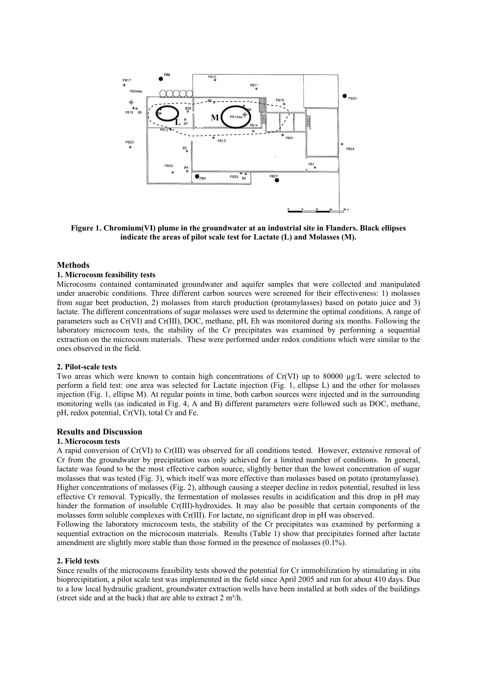

**Figure 1. Chromium(VI) plume in the groundwater at an industrial site in Flanders. Black ellipses indicate the areas of pilot scale test for Lactate (L) and Molasses (M).** 

## **Methods**

#### **1. Microcosm feasibility tests**

Microcosms contained contaminated groundwater and aquifer samples that were collected and manipulated under anaerobic conditions. Three different carbon sources were screened for their effectiveness: 1) molasses from sugar beet production, 2) molasses from starch production (protamylasses) based on potato juice and 3) lactate. The different concentrations of sugar molasses were used to determine the optimal conditions. A range of parameters such as Cr(VI) and Cr(III), DOC, methane, pH, Eh was monitored during six months. Following the laboratory microcosm tests, the stability of the Cr precipitates was examined by performing a sequential extraction on the microcosm materials. These were performed under redox conditions which were similar to the ones observed in the field.

## **2. Pilot-scale tests**

Two areas which were known to contain high concentrations of  $Cr(VI)$  up to 80000  $\mu g/L$  were selected to perform a field test: one area was selected for Lactate injection (Fig. 1, ellipse L) and the other for molasses injection (Fig. 1, ellipse M). At regular points in time, both carbon sources were injected and in the surrounding monitoring wells (as indicated in Fig. 4, A and B) different parameters were followed such as DOC, methane, pH, redox potential, Cr(VI), total Cr and Fe.

## **Results and Discussion**

#### **1. Microcosm tests**

A rapid conversion of Cr(VI) to Cr(III) was observed for all conditions tested. However, extensive removal of Cr from the groundwater by precipitation was only achieved for a limited number of conditions. In general, lactate was found to be the most effective carbon source, slightly better than the lowest concentration of sugar molasses that was tested (Fig. 3), which itself was more effective than molasses based on potato (protamylasse). Higher concentrations of molasses (Fig. 2), although causing a steeper decline in redox potential, resulted in less effective Cr removal. Typically, the fermentation of molasses results in acidification and this drop in pH may hinder the formation of insoluble Cr(III)-hydroxides. It may also be possible that certain components of the molasses form soluble complexes with Cr(III). For lactate, no significant drop in pH was observed.

Following the laboratory microcosm tests, the stability of the Cr precipitates was examined by performing a sequential extraction on the microcosm materials. Results (Table 1) show that precipitates formed after lactate amendment are slightly more stable than those formed in the presence of molasses (0.1%).

#### **2. Field tests**

Since results of the microcosms feasibility tests showed the potential for Cr immobilization by stimulating in situ bioprecipitation, a pilot scale test was implemented in the field since April 2005 and run for about 410 days. Due to a low local hydraulic gradient, groundwater extraction wells have been installed at both sides of the buildings (street side and at the back) that are able to extract  $2 \text{ m}^3/\text{h}$ .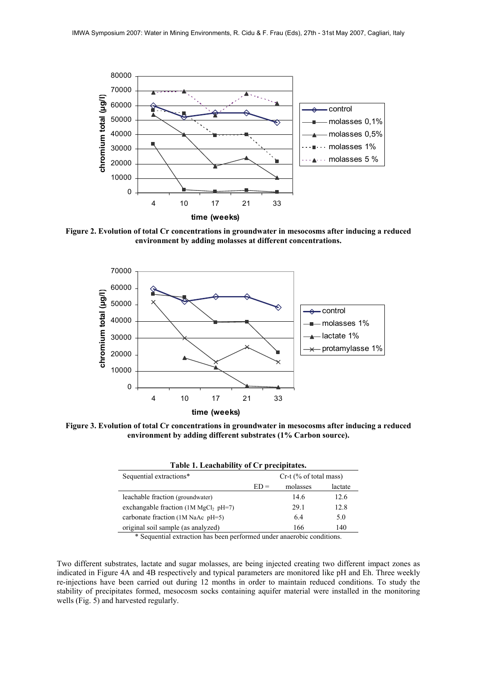

**Figure 2. Evolution of total Cr concentrations in groundwater in mesocosms after inducing a reduced environment by adding molasses at different concentrations.** 



**Figure 3. Evolution of total Cr concentrations in groundwater in mesocosms after inducing a reduced environment by adding different substrates (1% Carbon source).** 

| Table 1. Leachability of Cr precipitates. |                          |          |         |
|-------------------------------------------|--------------------------|----------|---------|
| Sequential extractions*                   | $Cr-t$ (% of total mass) |          |         |
|                                           | $ED =$                   | molasses | lactate |
| leachable fraction (groundwater)          |                          | 14.6     | 12.6    |
| exchangable fraction $(1M MgCl2 pH=7)$    |                          | 29.1     | 12.8    |
| carbonate fraction (1M NaAc pH=5)         |                          | 64       | 5.0     |
| original soil sample (as analyzed)        |                          | 166      | 140     |

\* Sequential extraction has been performed under anaerobic conditions.

Two different substrates, lactate and sugar molasses, are being injected creating two different impact zones as indicated in Figure 4A and 4B respectively and typical parameters are monitored like pH and Eh. Three weekly re-injections have been carried out during 12 months in order to maintain reduced conditions. To study the stability of precipitates formed, mesocosm socks containing aquifer material were installed in the monitoring wells (Fig. 5) and harvested regularly.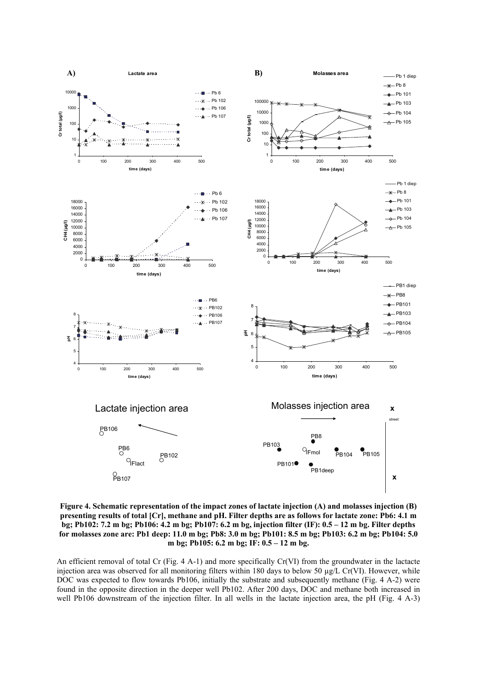

**Figure 4. Schematic representation of the impact zones of lactate injection (A) and molasses injection (B) presenting results of total [Cr], methane and pH. Filter depths are as follows for lactate zone: Pb6: 4.1 m bg; Pb102: 7.2 m bg; Pb106: 4.2 m bg; Pb107: 6.2 m bg, injection filter (IF): 0.5 – 12 m bg. Filter depths for molasses zone are: Pb1 deep: 11.0 m bg; Pb8: 3.0 m bg; Pb101: 8.5 m bg; Pb103: 6.2 m bg; Pb104: 5.0 m bg; Pb105: 6.2 m bg; IF: 0.5 – 12 m bg.** 

An efficient removal of total Cr (Fig. 4 A-1) and more specifically Cr(VI) from the groundwater in the lactacte injection area was observed for all monitoring filters within 180 days to below 50 µg/L Cr(VI). However, while DOC was expected to flow towards Pb106, initially the substrate and subsequently methane (Fig. 4 A-2) were found in the opposite direction in the deeper well Pb102. After 200 days, DOC and methane both increased in well Pb106 downstream of the injection filter. In all wells in the lactate injection area, the pH (Fig. 4 A-3)